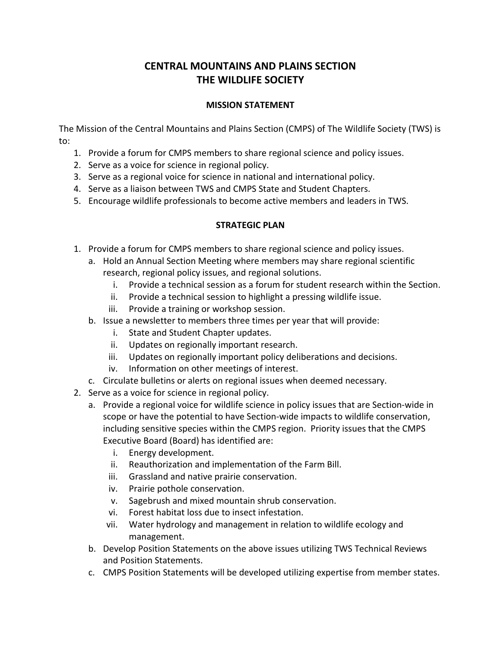## **CENTRAL MOUNTAINS AND PLAINS SECTION THE WILDLIFE SOCIETY**

## **MISSION STATEMENT**

The Mission of the Central Mountains and Plains Section (CMPS) of The Wildlife Society (TWS) is to:

- 1. Provide a forum for CMPS members to share regional science and policy issues.
- 2. Serve as a voice for science in regional policy.
- 3. Serve as a regional voice for science in national and international policy.
- 4. Serve as a liaison between TWS and CMPS State and Student Chapters.
- 5. Encourage wildlife professionals to become active members and leaders in TWS.

## **STRATEGIC PLAN**

- 1. Provide a forum for CMPS members to share regional science and policy issues.
	- a. Hold an Annual Section Meeting where members may share regional scientific research, regional policy issues, and regional solutions.
		- i. Provide a technical session as a forum for student research within the Section.
		- ii. Provide a technical session to highlight a pressing wildlife issue.
		- iii. Provide a training or workshop session.
	- b. Issue a newsletter to members three times per year that will provide:
		- i. State and Student Chapter updates.
		- ii. Updates on regionally important research.
		- iii. Updates on regionally important policy deliberations and decisions.
		- iv. Information on other meetings of interest.
	- c. Circulate bulletins or alerts on regional issues when deemed necessary.
- 2. Serve as a voice for science in regional policy.
	- a. Provide a regional voice for wildlife science in policy issues that are Section-wide in scope or have the potential to have Section-wide impacts to wildlife conservation, including sensitive species within the CMPS region. Priority issues that the CMPS Executive Board (Board) has identified are:
		- i. Energy development.
		- ii. Reauthorization and implementation of the Farm Bill.
		- iii. Grassland and native prairie conservation.
		- iv. Prairie pothole conservation.
		- v. Sagebrush and mixed mountain shrub conservation.
		- vi. Forest habitat loss due to insect infestation.
		- vii. Water hydrology and management in relation to wildlife ecology and management.
	- b. Develop Position Statements on the above issues utilizing TWS Technical Reviews and Position Statements.
	- c. CMPS Position Statements will be developed utilizing expertise from member states.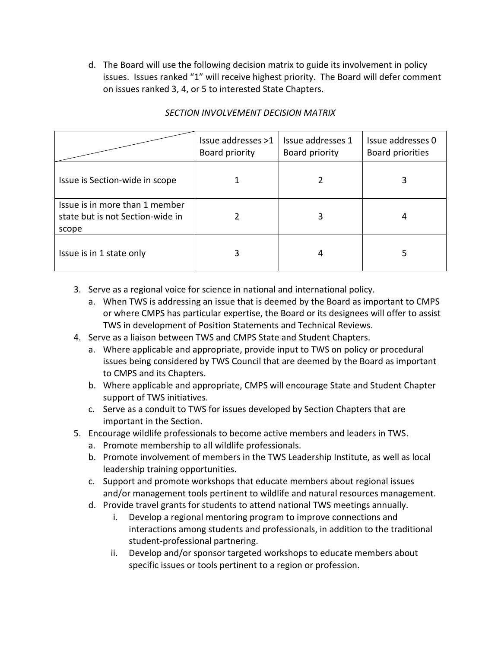d. The Board will use the following decision matrix to guide its involvement in policy issues. Issues ranked "1" will receive highest priority. The Board will defer comment on issues ranked 3, 4, or 5 to interested State Chapters.

|                                                                             | Issue addresses >1<br>Board priority | Issue addresses 1<br>Board priority | Issue addresses 0<br>Board priorities |
|-----------------------------------------------------------------------------|--------------------------------------|-------------------------------------|---------------------------------------|
| Issue is Section-wide in scope                                              |                                      |                                     |                                       |
| Issue is in more than 1 member<br>state but is not Section-wide in<br>scope |                                      |                                     |                                       |
| Issue is in 1 state only                                                    | 3                                    | 4                                   |                                       |

## *SECTION INVOLVEMENT DECISION MATRIX*

- 3. Serve as a regional voice for science in national and international policy.
	- a. When TWS is addressing an issue that is deemed by the Board as important to CMPS or where CMPS has particular expertise, the Board or its designees will offer to assist TWS in development of Position Statements and Technical Reviews.
- 4. Serve as a liaison between TWS and CMPS State and Student Chapters.
	- a. Where applicable and appropriate, provide input to TWS on policy or procedural issues being considered by TWS Council that are deemed by the Board as important to CMPS and its Chapters.
	- b. Where applicable and appropriate, CMPS will encourage State and Student Chapter support of TWS initiatives.
	- c. Serve as a conduit to TWS for issues developed by Section Chapters that are important in the Section.
- 5. Encourage wildlife professionals to become active members and leaders in TWS.
	- a. Promote membership to all wildlife professionals.
	- b. Promote involvement of members in the TWS Leadership Institute, as well as local leadership training opportunities.
	- c. Support and promote workshops that educate members about regional issues and/or management tools pertinent to wildlife and natural resources management.
	- d. Provide travel grants for students to attend national TWS meetings annually.
		- i. Develop a regional mentoring program to improve connections and interactions among students and professionals, in addition to the traditional student-professional partnering.
		- ii. Develop and/or sponsor targeted workshops to educate members about specific issues or tools pertinent to a region or profession.